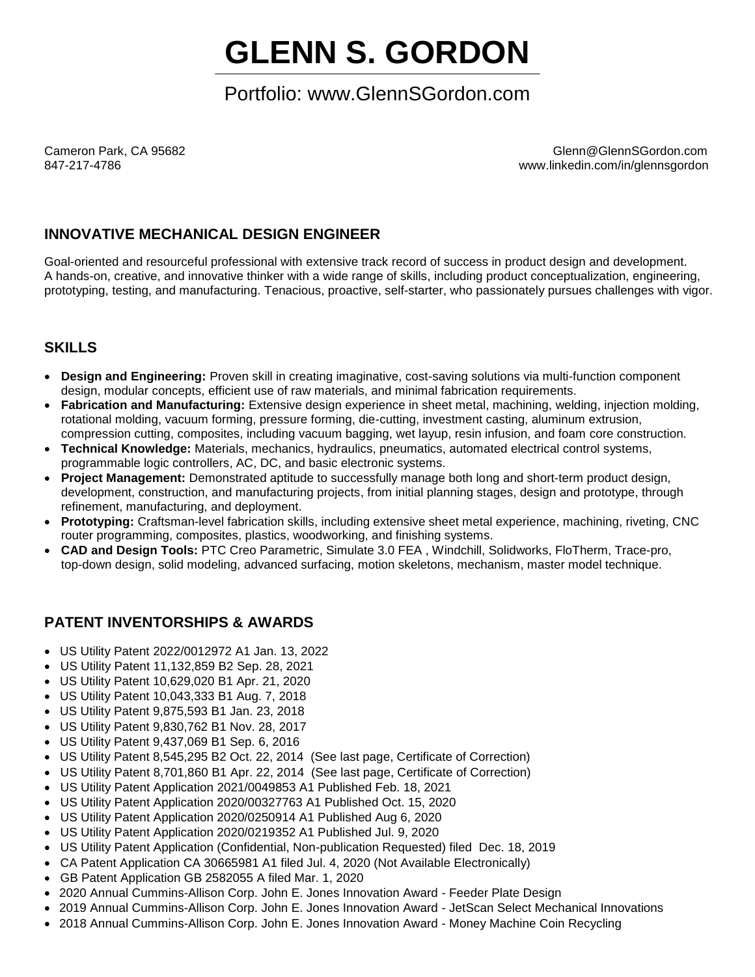# **GLENN S. GORDON**

## Portfolio: www.GlennSGordon.com

Cameron Park, CA 95682 Glenn@GlennSGordon.com www.linkedin.com/in/glennsgordon

## **INNOVATIVE MECHANICAL DESIGN ENGINEER**

Goal-oriented and resourceful professional with extensive track record of success in product design and development. A hands-on, creative, and innovative thinker with a wide range of skills, including product conceptualization, engineering, prototyping, testing, and manufacturing. Tenacious, proactive, self-starter, who passionately pursues challenges with vigor.

### **SKILLS**

- **Design and Engineering:** Proven skill in creating imaginative, cost-saving solutions via multi-function component design, modular concepts, efficient use of raw materials, and minimal fabrication requirements.
- **Fabrication and Manufacturing:** Extensive design experience in sheet metal, machining, welding, injection molding, rotational molding, vacuum forming, pressure forming, die-cutting, investment casting, aluminum extrusion, compression cutting, composites, including vacuum bagging, wet layup, resin infusion, and foam core construction.
- **Technical Knowledge:** Materials, mechanics, hydraulics, pneumatics, automated electrical control systems, programmable logic controllers, AC, DC, and basic electronic systems.
- **Project Management:** Demonstrated aptitude to successfully manage both long and short-term product design, development, construction, and manufacturing projects, from initial planning stages, design and prototype, through refinement, manufacturing, and deployment.
- **Prototyping:** Craftsman-level fabrication skills, including extensive sheet metal experience, machining, riveting, CNC router programming, composites, plastics, woodworking, and finishing systems.
- **CAD and Design Tools:** PTC Creo Parametric, Simulate 3.0 FEA , Windchill, Solidworks, FloTherm, Trace-pro, top-down design, solid modeling, advanced surfacing, motion skeletons, mechanism, master model technique.

### **PATENT INVENTORSHIPS & AWARDS**

- [US Utility Patent 2022/0012972](https://www.glennsgordon.com/wp-content/uploads/2022/02/US20220012972A1.pdf) A1 Jan. 13, 2022
- [US Utility Patent 11,132,859 B2 Sep. 28, 2021](https://www.glennsgordon.com/wp-content/uploads/2021/10/US11132859.pdf)
- [US Utility Patent 10,629,020 B1 Apr. 21, 2020](https://www.glennsgordon.com/wp-content/uploads/2020/04/pat10629020.pdf)
- [US Utility Patent 10,043,333 B1 Aug. 7, 2018](https://www.glennsgordon.com/wp-content/uploads/2020/04/pat10043333.pdf)
- US [Utility Patent 9,875,593](https://www.glennsgordon.com/wp-content/uploads/2020/04/pat9875593.pdf) B1 Jan. 23, 2018
- US [Utility Patent 9,830,762](https://www.glennsgordon.com/wp-content/uploads/2020/04/pat9830762.pdf) B1 Nov. 28, 2017
- US [Utility Patent 9,437,069](https://www.glennsgordon.com/wp-content/uploads/2020/04/pat9437069.pdf) B1 Sep. 6, 2016
- US Utility Patent 8,545,295 B2 Oct. 22, 2014 [\(See last page, Certificate of Correction\)](https://www.glennsgordon.com/wp-content/uploads/2020/04/pat8545295.pdf)
- US Utility Patent 8,701,860 B1 Apr. 22, 2014 [\(See last page, Certificate of](https://www.glennsgordon.com/wp-content/uploads/2020/04/pat8701860.pdf) Correction)
- [US Utility Patent Application 2021/0049853 A1 Published Feb. 18, 2021](https://www.glennsgordon.com/wp-content/uploads/2021/03/US20210049853A1.pdf)
- [US Utility Patent Application 2020/00327763 A1 Published Oct. 15, 2020](https://www.glennsgordon.com/wp-content/uploads/2020/12/US20200250914A1.pdf)
- [US Utility Patent Application 2020/0250914 A1 Published Aug 6, 2020](https://www.glennsgordon.com/wp-content/uploads/2020/12/US20200250914A1.pdf)
- [US Utility Patent Application 2020/0219352 A1 Published Jul. 9, 2020](https://www.glennsgordon.com/wp-content/uploads/2020/12/US20200219352A.pdf)
- US Utility Patent Application (Confidential, Non-publication Requested) filed Dec. 18, 2019
- [CA Patent Application CA 30665981 A1 filed Jul. 4, 2020 \(Not Available Electronically\)](https://patents.google.com/patent/CA3066598A1/en?inventor=gordon&assignee=Cummins-Allison&num=25)
- [GB Patent Application GB 2582055 A filed Mar. 1, 2020](https://www.glennsgordon.com/wp-content/uploads/2021/01/GB2582055A.pdf)
- 2020 Annual Cummins-Allison Corp. John E. Jones Innovation Award Feeder Plate Design
- 2019 Annual Cummins-Allison Corp. John E. Jones Innovation Award JetScan Select Mechanical Innovations
- 2018 Annual Cummins-Allison Corp. John E. Jones Innovation Award Money Machine Coin Recycling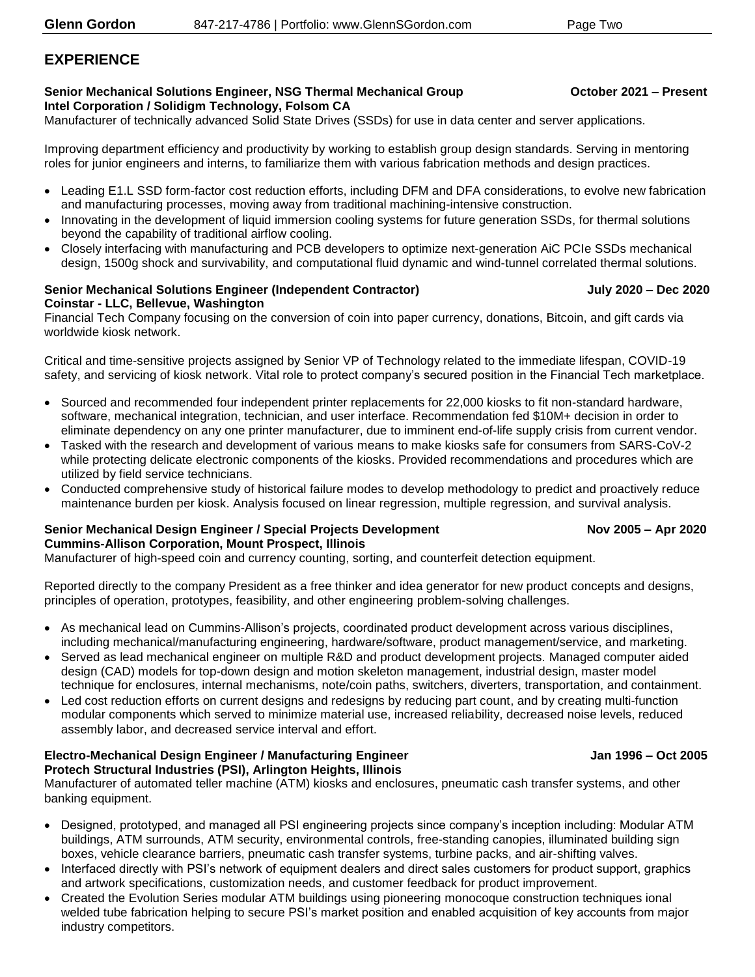### **EXPERIENCE**

#### **Senior Mechanical Solutions Engineer, NSG Thermal Mechanical Group <b>CES COSET 1000000** October 2021 - Present **Intel Corporation / Solidigm Technology, Folsom CA**

Manufacturer of technically advanced Solid State Drives (SSDs) for use in data center and server applications.

Improving department efficiency and productivity by working to establish group design standards. Serving in mentoring roles for junior engineers and interns, to familiarize them with various fabrication methods and design practices.

- Leading E1.L SSD form-factor cost reduction efforts, including DFM and DFA considerations, to evolve new fabrication and manufacturing processes, moving away from traditional machining-intensive construction.
- Innovating in the development of liquid immersion cooling systems for future generation SSDs, for thermal solutions beyond the capability of traditional airflow cooling.
- Closely interfacing with manufacturing and PCB developers to optimize next-generation AiC PCIe SSDs mechanical design, 1500g shock and survivability, and computational fluid dynamic and wind-tunnel correlated thermal solutions.

#### **Senior Mechanical Solutions Engineer (Independent Contractor) July 2020 – Dec 2020 Coinstar - LLC, Bellevue, Washington**

Financial Tech Company focusing on the conversion of coin into paper currency, donations, Bitcoin, and gift cards via worldwide kiosk network.

Critical and time-sensitive projects assigned by Senior VP of Technology related to the immediate lifespan, COVID-19 safety, and servicing of kiosk network. Vital role to protect company's secured position in the Financial Tech marketplace.

- Sourced and recommended four independent printer replacements for 22,000 kiosks to fit non-standard hardware, software, mechanical integration, technician, and user interface. Recommendation fed \$10M+ decision in order to eliminate dependency on any one printer manufacturer, due to imminent end-of-life supply crisis from current vendor.
- Tasked with the research and development of various means to make kiosks safe for consumers from SARS-CoV-2 while protecting delicate electronic components of the kiosks. Provided recommendations and procedures which are utilized by field service technicians.
- Conducted comprehensive study of historical failure modes to develop methodology to predict and proactively reduce maintenance burden per kiosk. Analysis focused on linear regression, multiple regression, and survival analysis.

### **Senior Mechanical Design Engineer / Special Projects Development Nov 2005 – Apr 2020 Cummins-Allison Corporation, Mount Prospect, Illinois**

Manufacturer of high-speed coin and currency counting, sorting, and counterfeit detection equipment.

Reported directly to the company President as a free thinker and idea generator for new product concepts and designs, principles of operation, prototypes, feasibility, and other engineering problem-solving challenges.

- As mechanical lead on Cummins-Allison's projects, coordinated product development across various disciplines, including mechanical/manufacturing engineering, hardware/software, product management/service, and marketing.
- Served as lead mechanical engineer on multiple R&D and product development projects. Managed computer aided design (CAD) models for top-down design and motion skeleton management, industrial design, master model technique for enclosures, internal mechanisms, note/coin paths, switchers, diverters, transportation, and containment.
- Led cost reduction efforts on current designs and redesigns by reducing part count, and by creating multi-function modular components which served to minimize material use, increased reliability, decreased noise levels, reduced assembly labor, and decreased service interval and effort.

#### **Electro-Mechanical Design Engineer / Manufacturing Engineer Jan 1996 – Oct 2005 Protech Structural Industries (PSI), Arlington Heights, Illinois**

Manufacturer of automated teller machine (ATM) kiosks and enclosures, pneumatic cash transfer systems, and other banking equipment.

- Designed, prototyped, and managed all PSI engineering projects since company's inception including: Modular ATM buildings, ATM surrounds, ATM security, environmental controls, free-standing canopies, illuminated building sign boxes, vehicle clearance barriers, pneumatic cash transfer systems, turbine packs, and air-shifting valves.
- Interfaced directly with PSI's network of equipment dealers and direct sales customers for product support, graphics and artwork specifications, customization needs, and customer feedback for product improvement.
- Created the Evolution Series modular ATM buildings using pioneering monocoque construction techniques ional welded tube fabrication helping to secure PSI's market position and enabled acquisition of key accounts from major industry competitors.